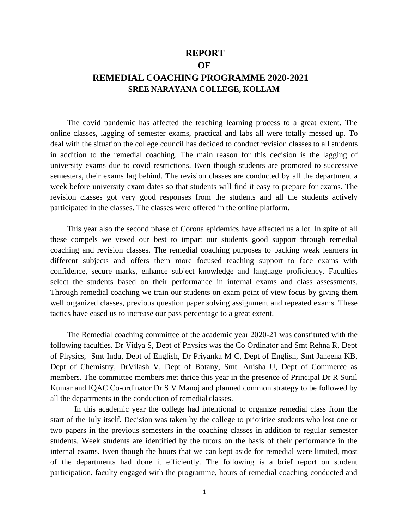## **REPORT**

**OF**

# **REMEDIAL COACHING PROGRAMME 2020-2021 SREE NARAYANA COLLEGE, KOLLAM**

The covid pandemic has affected the teaching learning process to a great extent. The online classes, lagging of semester exams, practical and labs all were totally messed up. To deal with the situation the college council has decided to conduct revision classes to all students in addition to the remedial coaching. The main reason for this decision is the lagging of university exams due to covid restrictions. Even though students are promoted to successive semesters, their exams lag behind. The revision classes are conducted by all the department a week before university exam dates so that students will find it easy to prepare for exams. The revision classes got very good responses from the students and all the students actively participated in the classes. The classes were offered in the online platform.

This year also the second phase of Corona epidemics have affected us a lot. In spite of all these compels we vexed our best to impart our students good support through remedial coaching and revision classes. The remedial coaching purposes to backing weak learners in different subjects and offers them more focused teaching support to face exams with confidence, secure marks, enhance subject knowledge and language proficiency. Faculties select the students based on their performance in internal exams and class assessments. Through remedial coaching we train our students on exam point of view focus by giving them well organized classes, previous question paper solving assignment and repeated exams. These tactics have eased us to increase our pass percentage to a great extent.

The Remedial coaching committee of the academic year 2020-21 was constituted with the following faculties. Dr Vidya S, Dept of Physics was the Co Ordinator and Smt Rehna R, Dept of Physics, Smt Indu, Dept of English, Dr Priyanka M C, Dept of English, Smt Janeena KB, Dept of Chemistry, DrVilash V, Dept of Botany, Smt. Anisha U, Dept of Commerce as members. The committee members met thrice this year in the presence of Principal Dr R Sunil Kumar and IQAC Co-ordinator Dr S V Manoj and planned common strategy to be followed by all the departments in the conduction of remedial classes.

In this academic year the college had intentional to organize remedial class from the start of the July itself. Decision was taken by the college to prioritize students who lost one or two papers in the previous semesters in the coaching classes in addition to regular semester students. Week students are identified by the tutors on the basis of their performance in the internal exams. Even though the hours that we can kept aside for remedial were limited, most of the departments had done it efficiently. The following is a brief report on student participation, faculty engaged with the programme, hours of remedial coaching conducted and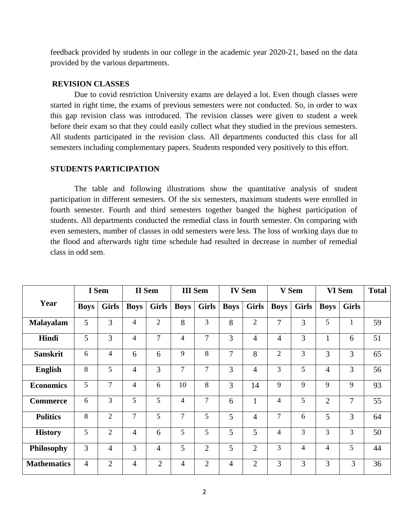feedback provided by students in our college in the academic year 2020-21, based on the data provided by the various departments.

#### **REVISION CLASSES**

Due to covid restriction University exams are delayed a lot. Even though classes were started in right time, the exams of previous semesters were not conducted. So, in order to wax this gap revision class was introduced. The revision classes were given to student a week before their exam so that they could easily collect what they studied in the previous semesters. All students participated in the revision class. All departments conducted this class for all semesters including complementary papers. Students responded very positively to this effort.

#### **STUDENTS PARTICIPATION**

The table and following illustrations show the quantitative analysis of student participation in different semesters. Of the six semesters, maximum students were enrolled in fourth semester. Fourth and third semesters together banged the highest participation of students. All departments conducted the remedial class in fourth semester. On comparing with even semesters, number of classes in odd semesters were less. The loss of working days due to the flood and afterwards tight time schedule had resulted in decrease in number of remedial class in odd sem.

|                    | I Sem          |                | <b>II</b> Sem  |                | <b>III</b> Sem |                | <b>IV Sem</b>  |                | V Sem          |                | VI Sem         |              | <b>Total</b> |
|--------------------|----------------|----------------|----------------|----------------|----------------|----------------|----------------|----------------|----------------|----------------|----------------|--------------|--------------|
| Year               | <b>Boys</b>    | <b>Girls</b>   | <b>Boys</b>    | <b>Girls</b>   | <b>Boys</b>    | <b>Girls</b>   | <b>Boys</b>    | <b>Girls</b>   | <b>Boys</b>    | <b>Girls</b>   | <b>Boys</b>    | <b>Girls</b> |              |
| <b>Malayalam</b>   | 5              | 3              | 4              | $\overline{2}$ | 8              | $\overline{3}$ | 8              | $\overline{2}$ | $\overline{7}$ | $\overline{3}$ | 5              | $\mathbf{1}$ | 59           |
| Hindi              | 5              | 3              | 4              | $\overline{7}$ | 4              | $\overline{7}$ | 3              | $\overline{4}$ | $\overline{4}$ | 3              | 1              | 6            | 51           |
| <b>Sanskrit</b>    | 6              | 4              | 6              | 6              | 9              | 8              | 7              | 8              | $\overline{2}$ | 3              | 3              | 3            | 65           |
| <b>English</b>     | 8              | 5              | $\overline{4}$ | 3              | $\overline{7}$ | $\overline{7}$ | 3              | $\overline{4}$ | 3              | 5              | $\overline{4}$ | 3            | 56           |
| <b>Economics</b>   | 5              | $\overline{7}$ | 4              | 6              | 10             | 8              | 3              | 14             | 9              | 9              | 9              | 9            | 93           |
| <b>Commerce</b>    | 6              | 3              | 5              | 5              | 4              | $\overline{7}$ | 6              | $\mathbf{1}$   | 4              | 5              | $\overline{2}$ | 7            | 55           |
| <b>Politics</b>    | 8              | $\overline{2}$ | 7              | 5              | $\overline{7}$ | 5              | 5              | 4              | 7              | 6              | 5              | 3            | 64           |
| <b>History</b>     | 5              | $\overline{2}$ | $\overline{4}$ | 6              | 5              | 5              | 5              | 5              | 4              | 3              | 3              | 3            | 50           |
| <b>Philosophy</b>  | 3              | $\overline{4}$ | 3              | $\overline{4}$ | 5              | $\overline{2}$ | 5              | $\overline{2}$ | 3              | $\overline{4}$ | 4              | 5            | 44           |
| <b>Mathematics</b> | $\overline{4}$ | $\overline{2}$ | $\overline{4}$ | $\overline{2}$ | $\overline{4}$ | $\overline{2}$ | $\overline{4}$ | $\overline{2}$ | 3              | 3              | 3              | 3            | 36           |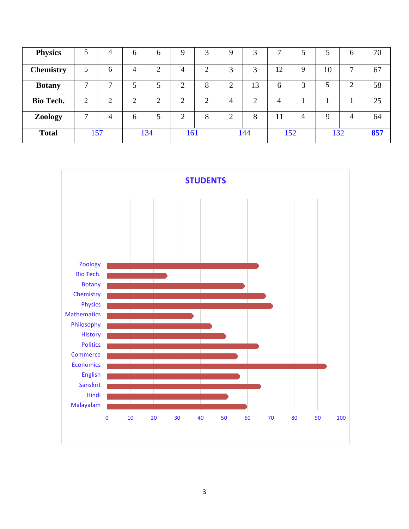| <b>Physics</b>   |     | 4 | <sub>0</sub> | 6      | 9   | 3 | 9 |     | ⇁  |     |             | h              | 70  |
|------------------|-----|---|--------------|--------|-----|---|---|-----|----|-----|-------------|----------------|-----|
| <b>Chemistry</b> |     | 6 | 4            | ↑      | 4   | ◠ | 3 | 3   | 12 | 9   | 10          | 7              | 67  |
| <b>Botany</b>    | ⇁   |   | 5            |        | ⌒   | 8 | ◠ | 13  | 6  | 3   | 5           | ⌒              | 58  |
| <b>Bio Tech.</b> | ◠   | ↑ | ◠<br>∠       | ◠<br>∠ | ↑   | ⌒ | 4 | ◠   | 4  |     |             |                | 25  |
| <b>Zoology</b>   | 7   | 4 | 6            | 5      | ⌒   | 8 | ↑ | 8   | 11 | 4   | $\mathbf Q$ | $\overline{4}$ | 64  |
| <b>Total</b>     | 157 |   |              | 134    | 161 |   |   | 144 |    | 152 | 132         |                | 857 |

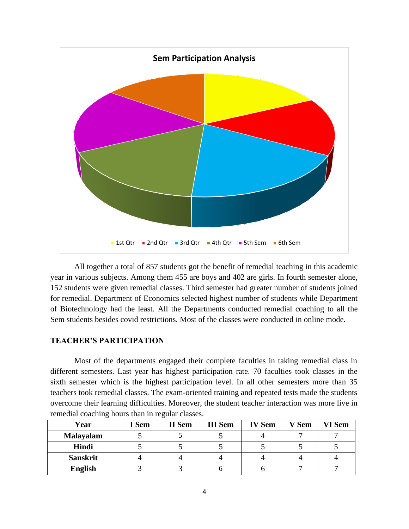

All together a total of 857 students got the benefit of remedial teaching in this academic year in various subjects. Among them 455 are boys and 402 are girls. In fourth semester alone, 152 students were given remedial classes. Third semester had greater number of students joined for remedial. Department of Economics selected highest number of students while Department of Biotechnology had the least. All the Departments conducted remedial coaching to all the Sem students besides covid restrictions. Most of the classes were conducted in online mode.

### **TEACHER'S PARTICIPATION**

Most of the departments engaged their complete faculties in taking remedial class in different semesters. Last year has highest participation rate. 70 faculties took classes in the sixth semester which is the highest participation level. In all other semesters more than 35 teachers took remedial classes. The exam-oriented training and repeated tests made the students overcome their learning difficulties. Moreover, the student teacher interaction was more live in remedial coaching hours than in regular classes.

| Year             | I Sem | II Sem | <b>III</b> Sem | <b>IV Sem</b> | V Sem | VI Sem |
|------------------|-------|--------|----------------|---------------|-------|--------|
| <b>Malayalam</b> |       |        |                |               |       |        |
| Hindi            |       |        |                |               |       |        |
| <b>Sanskrit</b>  |       |        |                |               |       |        |
| English          |       |        |                |               |       |        |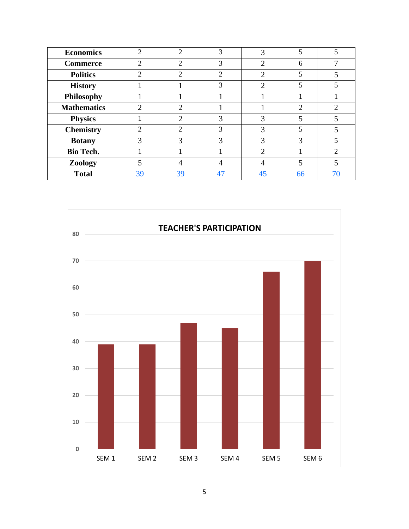| <b>Economics</b>   | $\overline{2}$ | $\overline{2}$ | 3              | 3  | 5              |                |
|--------------------|----------------|----------------|----------------|----|----------------|----------------|
| <b>Commerce</b>    | $\mathfrak{D}$ | $\overline{2}$ | 3              | っ  | 6              |                |
| <b>Politics</b>    | $\mathfrak{D}$ | $\overline{2}$ | $\overline{c}$ | ◠  | 5              |                |
| <b>History</b>     |                |                | 3              | ◠  | 5              |                |
| <b>Philosophy</b>  |                |                |                |    |                |                |
| <b>Mathematics</b> | 2              | $\overline{2}$ |                |    | $\overline{2}$ | റ              |
| <b>Physics</b>     |                | າ              | 3              | 3  | 5              |                |
| <b>Chemistry</b>   | $\overline{c}$ | $\overline{2}$ | 3              | 3  | 5              |                |
| <b>Botany</b>      | 3              | 3              | 3              | 3  | 3              |                |
| <b>Bio Tech.</b>   |                |                |                | ာ  |                | $\mathfrak{D}$ |
| Zoology            |                | 4              |                |    | 5              |                |
| <b>Total</b>       | 39             | 39             | 47             | 45 | 66             | 70             |

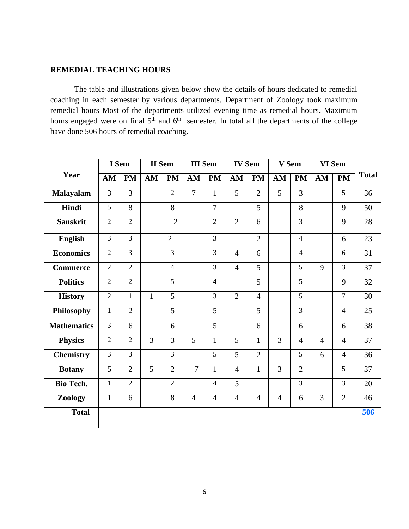#### **REMEDIAL TEACHING HOURS**

The table and illustrations given below show the details of hours dedicated to remedial coaching in each semester by various departments. Department of Zoology took maximum remedial hours Most of the departments utilized evening time as remedial hours. Maximum hours engaged were on final  $5<sup>th</sup>$  and  $6<sup>th</sup>$  semester. In total all the departments of the college have done 506 hours of remedial coaching.

|                    |                | I Sem          | <b>II</b> Sem |                | <b>III</b> Sem |                | <b>IV Sem</b>  |                | V Sem          |                | VI Sem         |                |              |
|--------------------|----------------|----------------|---------------|----------------|----------------|----------------|----------------|----------------|----------------|----------------|----------------|----------------|--------------|
| Year               | AM             | <b>PM</b>      | AM            | <b>PM</b>      | AM             | PM             | AM             | <b>PM</b>      | AM             | <b>PM</b>      | AM             | $\mathbf{PM}$  | <b>Total</b> |
| Malayalam          | 3              | $\overline{3}$ |               | $\overline{2}$ | $\overline{7}$ | $\mathbf{1}$   | 5              | $\overline{2}$ | $\overline{5}$ | $\overline{3}$ |                | 5              | 36           |
| Hindi              | 5              | 8              |               | 8              |                | $\overline{7}$ |                | 5              |                | 8              |                | 9              | 50           |
| <b>Sanskrit</b>    | $\overline{2}$ | $\overline{2}$ |               | $\overline{2}$ |                | $\overline{2}$ | $\overline{2}$ | 6              |                | $\overline{3}$ |                | 9              | 28           |
| <b>English</b>     | 3              | $\overline{3}$ |               | $\overline{2}$ |                | $\overline{3}$ |                | $\overline{2}$ |                | $\overline{4}$ |                | 6              | 23           |
| <b>Economics</b>   | $\overline{2}$ | $\overline{3}$ |               | 3              |                | $\overline{3}$ | $\overline{4}$ | 6              |                | $\overline{4}$ |                | 6              | 31           |
| <b>Commerce</b>    | $\overline{2}$ | $\overline{2}$ |               | $\overline{4}$ |                | $\overline{3}$ | $\overline{4}$ | 5              |                | 5              | 9              | 3              | 37           |
| <b>Politics</b>    | $\overline{2}$ | $\overline{2}$ |               | 5              |                | $\overline{4}$ |                | 5              |                | 5              |                | 9              | 32           |
| <b>History</b>     | $\overline{2}$ | $\mathbf{1}$   | $\mathbf{1}$  | 5              |                | $\overline{3}$ | $\overline{2}$ | $\overline{4}$ |                | 5              |                | $\overline{7}$ | 30           |
| Philosophy         | $\mathbf{1}$   | $\overline{2}$ |               | $\overline{5}$ |                | 5              |                | 5              |                | $\overline{3}$ |                | $\overline{4}$ | 25           |
| <b>Mathematics</b> | 3              | 6              |               | 6              |                | 5              |                | 6              |                | 6              |                | 6              | 38           |
| <b>Physics</b>     | $\overline{2}$ | $\overline{2}$ | 3             | 3              | 5              | $\mathbf{1}$   | 5              | $\mathbf{1}$   | 3              | $\overline{4}$ | $\overline{4}$ | $\overline{4}$ | 37           |
| <b>Chemistry</b>   | 3              | $\overline{3}$ |               | 3              |                | 5              | 5              | $\overline{2}$ |                | 5              | 6              | $\overline{4}$ | 36           |
| <b>Botany</b>      | 5              | $\overline{2}$ | 5             | $\overline{2}$ | $\overline{7}$ | $\mathbf{1}$   | $\overline{4}$ | $\mathbf{1}$   | $\overline{3}$ | $\overline{2}$ |                | 5              | 37           |
| <b>Bio Tech.</b>   | $\mathbf{1}$   | $\overline{2}$ |               | $\overline{2}$ |                | $\overline{4}$ | 5              |                |                | $\overline{3}$ |                | 3              | 20           |
| Zoology            | $\mathbf{1}$   | 6              |               | 8              | $\overline{4}$ | $\overline{4}$ | $\overline{4}$ | $\overline{4}$ | $\overline{4}$ | 6              | 3              | $\overline{2}$ | 46           |
| <b>Total</b>       |                |                |               |                |                |                |                |                |                |                |                |                | 506          |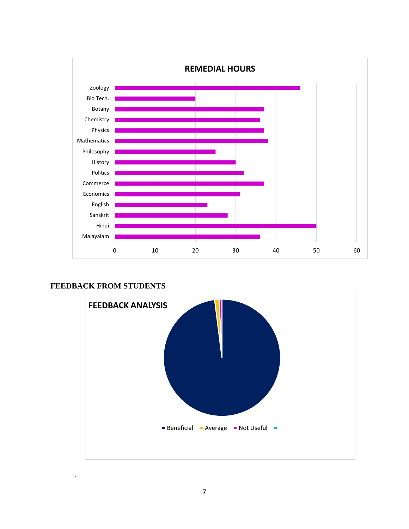

**FEEDBACK FROM STUDENTS**

.